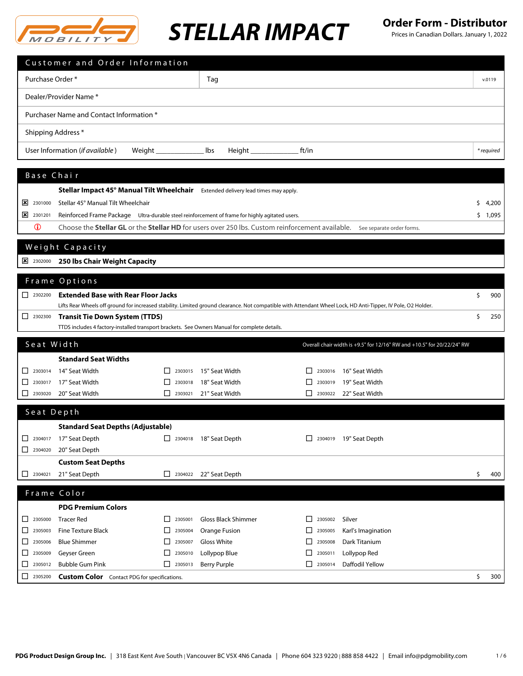

## **STELLAR IMPACT** Order Form - Distributor **CONSILLAR IMPACT** Order Form - Distributor

Prices in Canadian Dollars. January 1, 2022

|                                                                          | <i>MUBILI I Y</i>                                                                              |                         |                              |                                                                                                                                                               |             |
|--------------------------------------------------------------------------|------------------------------------------------------------------------------------------------|-------------------------|------------------------------|---------------------------------------------------------------------------------------------------------------------------------------------------------------|-------------|
|                                                                          | Customer and Order Information                                                                 |                         |                              |                                                                                                                                                               |             |
| Purchase Order*                                                          |                                                                                                |                         | Tag                          |                                                                                                                                                               | v.0119      |
|                                                                          | Dealer/Provider Name*                                                                          |                         |                              |                                                                                                                                                               |             |
|                                                                          | Purchaser Name and Contact Information *                                                       |                         |                              |                                                                                                                                                               |             |
|                                                                          |                                                                                                |                         |                              |                                                                                                                                                               |             |
| Shipping Address *                                                       |                                                                                                |                         |                              |                                                                                                                                                               |             |
|                                                                          | User Information (if available)                                                                |                         | Ibs<br>Height ______________ | ft/in                                                                                                                                                         | * required  |
|                                                                          |                                                                                                |                         |                              |                                                                                                                                                               |             |
| Base Chair                                                               |                                                                                                |                         |                              |                                                                                                                                                               |             |
|                                                                          | Stellar Impact 45° Manual Tilt Wheelchair Extended delivery lead times may apply.              |                         |                              |                                                                                                                                                               |             |
| X 2301000                                                                | Stellar 45° Manual Tilt Wheelchair                                                             |                         |                              |                                                                                                                                                               | \$<br>4,200 |
| 2301201<br>$\mathbf 0$                                                   | Reinforced Frame Package Ultra-durable steel reinforcement of frame for highly agitated users. |                         |                              |                                                                                                                                                               | \$1,095     |
|                                                                          |                                                                                                |                         |                              | Choose the <b>Stellar GL</b> or the <b>Stellar HD</b> for users over 250 lbs. Custom reinforcement available. See separate order forms.                       |             |
|                                                                          | Weight Capacity                                                                                |                         |                              |                                                                                                                                                               |             |
| $\frac{\times}{2}$ 2302000                                               | 250 lbs Chair Weight Capacity                                                                  |                         |                              |                                                                                                                                                               |             |
|                                                                          | Frame Options                                                                                  |                         |                              |                                                                                                                                                               |             |
|                                                                          | <b>Extended Base with Rear Floor Jacks</b>                                                     |                         |                              |                                                                                                                                                               | \$<br>900   |
| $\begin{array}{ c c c c c } \hline \quad & 2302200 \\\hline \end{array}$ |                                                                                                |                         |                              | Lifts Rear Wheels off ground for increased stability. Limited ground clearance. Not compatible with Attendant Wheel Lock, HD Anti-Tipper, IV Pole, O2 Holder. |             |
| $\Box$ 2302300                                                           | <b>Transit Tie Down System (TTDS)</b>                                                          |                         |                              |                                                                                                                                                               | \$<br>250   |
|                                                                          | TTDS includes 4 factory-installed transport brackets. See Owners Manual for complete details.  |                         |                              |                                                                                                                                                               |             |
| Seat Width                                                               |                                                                                                |                         |                              | Overall chair width is +9.5" for 12/16" RW and +10.5" for 20/22/24" RW                                                                                        |             |
|                                                                          | <b>Standard Seat Widths</b>                                                                    |                         |                              |                                                                                                                                                               |             |
| ப                                                                        | 2303014 14" Seat Width                                                                         | 2303015<br>$\mathsf{L}$ | 15" Seat Width               | 16" Seat Width<br>2303016                                                                                                                                     |             |
| 2303017<br>ப                                                             | 17" Seat Width                                                                                 | 2303018                 | 18" Seat Width               | 19" Seat Width<br>2303019                                                                                                                                     |             |
| 2303020<br>ப                                                             | 20" Seat Width                                                                                 | $\Box$ 2303021          | 21" Seat Width               | 2303022 22" Seat Width                                                                                                                                        |             |
| Seat Depth                                                               |                                                                                                |                         |                              |                                                                                                                                                               |             |
|                                                                          |                                                                                                |                         |                              |                                                                                                                                                               |             |
| $\boxed{\phantom{000}}$ 2304017                                          | <b>Standard Seat Depths (Adjustable)</b><br>17" Seat Depth                                     |                         | 2304018 18" Seat Depth       | $\Box$ 2304019 19" Seat Depth                                                                                                                                 |             |
| $\begin{array}{ c c }\n\hline\n\end{array}$ 2304020                      | 20" Seat Depth                                                                                 |                         |                              |                                                                                                                                                               |             |
|                                                                          | <b>Custom Seat Depths</b>                                                                      |                         |                              |                                                                                                                                                               |             |
| $\boxed{\phantom{1}}$ 2304021                                            | 21" Seat Depth                                                                                 | 2304022                 | 22" Seat Depth               |                                                                                                                                                               | \$<br>400   |
|                                                                          | Frame Color                                                                                    |                         |                              |                                                                                                                                                               |             |
|                                                                          | <b>PDG Premium Colors</b>                                                                      |                         |                              |                                                                                                                                                               |             |
| 2305000<br>□                                                             | <b>Tracer Red</b>                                                                              | 2305001<br>П            | <b>Gloss Black Shimmer</b>   | 2305002<br>Silver<br>ΙI                                                                                                                                       |             |
| 2305003<br>ப                                                             | <b>Fine Texture Black</b>                                                                      | $\Box$ 2305004          | Orange Fusion                | Karl's Imagination<br>2305005<br>$\mathsf{L}$                                                                                                                 |             |
| 2305006<br>⊔.                                                            | <b>Blue Shimmer</b>                                                                            | 2305007<br>ப            | Gloss White                  | Dark Titanium<br>2305008<br>ΙI                                                                                                                                |             |
| $\begin{array}{ c c }\n\hline\n\end{array}$ 2305009                      | Geyser Green                                                                                   | 2305010<br>ப            | Lollypop Blue                | □<br>2305011<br>Lollypop Red                                                                                                                                  |             |
| 2305012<br>ப                                                             | <b>Bubble Gum Pink</b>                                                                         | $\Box$ 2305013          | <b>Berry Purple</b>          | 2305014<br>Daffodil Yellow                                                                                                                                    |             |

<sup>2305200</sup> **Custom Color** Contact PDG for specifications. \$ 300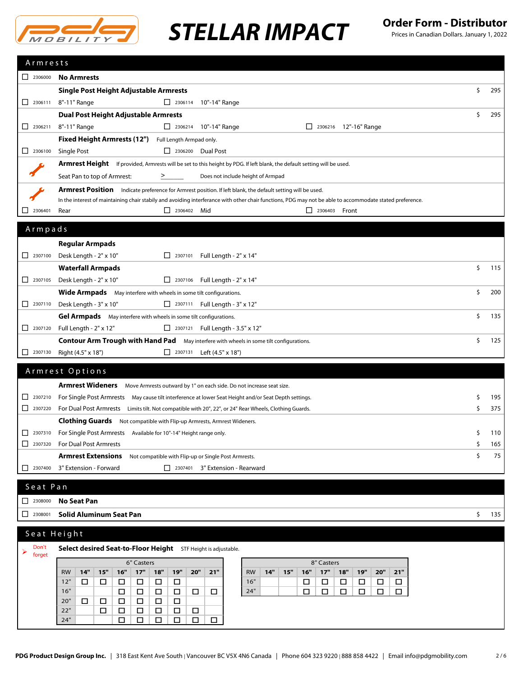

|                                                                                     | Armrests                                                                                                                                                                                                        |          |            |  |  |  |
|-------------------------------------------------------------------------------------|-----------------------------------------------------------------------------------------------------------------------------------------------------------------------------------------------------------------|----------|------------|--|--|--|
| $\begin{array}{ c c c c c } \hline \quad & 2306000 \\ \hline \end{array}$           | <b>No Armrests</b>                                                                                                                                                                                              |          |            |  |  |  |
|                                                                                     | Single Post Height Adjustable Armrests                                                                                                                                                                          | \$       | 295        |  |  |  |
| 2306111                                                                             | 8"-11" Range<br>2306114 10"-14" Range                                                                                                                                                                           |          |            |  |  |  |
|                                                                                     | Dual Post Height Adjustable Armrests                                                                                                                                                                            | \$       | 295        |  |  |  |
| $\boxed{\phantom{1}}$ 2306211                                                       | 8"-11" Range<br>$\Box$ 2306214 10"-14" Range<br>2306216 12"-16" Range                                                                                                                                           |          |            |  |  |  |
|                                                                                     | <b>Fixed Height Armrests (12")</b><br>Full Length Armpad only.                                                                                                                                                  |          |            |  |  |  |
| $\begin{array}{ c c c }\n\hline\n2306100\n\end{array}$                              | Single Post<br>$\Box$ 2306200 Dual Post                                                                                                                                                                         |          |            |  |  |  |
|                                                                                     | <b>Armrest Height</b> If provided, Armrests will be set to this height by PDG. If left blank, the default setting will be used.                                                                                 |          |            |  |  |  |
|                                                                                     | Seat Pan to top of Armrest:<br>Does not include height of Armpad<br>>                                                                                                                                           |          |            |  |  |  |
|                                                                                     | Armrest Position Indicate preference for Armrest position. If left blank, the default setting will be used.                                                                                                     |          |            |  |  |  |
|                                                                                     | In the interest of maintaining chair stabily and avoiding interferance with other chair functions, PDG may not be able to accommodate stated preference.                                                        |          |            |  |  |  |
| 2306401<br>ш                                                                        | 2306402 Mid<br>□ 2306403 Front<br>Rear                                                                                                                                                                          |          |            |  |  |  |
| Armpads                                                                             |                                                                                                                                                                                                                 |          |            |  |  |  |
|                                                                                     | <b>Regular Armpads</b>                                                                                                                                                                                          |          |            |  |  |  |
| $\begin{array}{ c c c c c } \hline \quad & 2307100 \end{array}$                     | Desk Length - 2" x 10"<br>2307101 Full Length - 2" x 14"                                                                                                                                                        |          |            |  |  |  |
|                                                                                     | <b>Waterfall Armpads</b>                                                                                                                                                                                        | \$       | 115        |  |  |  |
| 2307105                                                                             | Desk Length - 2" x 10"<br>$\Box$ 2307106 Full Length - 2" x 14"                                                                                                                                                 |          |            |  |  |  |
|                                                                                     | Wide Armpads May interfere with wheels in some tilt configurations.                                                                                                                                             | \$       | 200        |  |  |  |
| $\Box$ 2307110                                                                      | Desk Length - 3" x 10"<br>$\Box$ 2307111 Full Length - 3" x 12"                                                                                                                                                 |          |            |  |  |  |
|                                                                                     | Gel Armpads May interfere with wheels in some tilt configurations.                                                                                                                                              | \$       | 135        |  |  |  |
| $\begin{array}{ c c c c c c } \hline \quad & 2307120 \end{array}$                   | Full Length - 2" x 12"<br>2307121 Full Length - 3.5" x 12"                                                                                                                                                      |          |            |  |  |  |
|                                                                                     | <b>Contour Arm Trough with Hand Pad</b> May interfere with wheels in some tilt configurations.                                                                                                                  | \$       | 125        |  |  |  |
| $\Box$ 2307130                                                                      | Right (4.5" x 18")<br>2307131 Left $(4.5" \times 18")$                                                                                                                                                          |          |            |  |  |  |
|                                                                                     | Armrest Options                                                                                                                                                                                                 |          |            |  |  |  |
|                                                                                     |                                                                                                                                                                                                                 |          |            |  |  |  |
|                                                                                     | Armrest Wideners Move Armrests outward by 1" on each side. Do not increase seat size.                                                                                                                           |          |            |  |  |  |
| $\Box$ 2307210<br>$\begin{array}{ c c c c c c } \hline \quad & 2307220 \end{array}$ | For Single Post Armrests May cause tilt interference at lower Seat Height and/or Seat Depth settings.<br>For Dual Post Armrests Limits tilt. Not compatible with 20", 22", or 24" Rear Wheels, Clothing Guards. | \$<br>\$ | 195<br>375 |  |  |  |
|                                                                                     |                                                                                                                                                                                                                 |          |            |  |  |  |
| $\Box$ 2307310                                                                      | <b>Clothing Guards</b> Not compatible with Flip-up Armrests, Armrest Wideners.<br>For Single Post Armrests Available for 10"-14" Height range only.                                                             |          |            |  |  |  |
|                                                                                     | 2307320 For Dual Post Armrests                                                                                                                                                                                  | \$<br>\$ | 110<br>165 |  |  |  |
|                                                                                     | <b>Armrest Extensions</b><br>Not compatible with Flip-up or Single Post Armrests.                                                                                                                               | \$       | 75         |  |  |  |
| $\Box$ 2307400                                                                      | 2307401 3" Extension - Rearward<br>3" Extension - Forward                                                                                                                                                       |          |            |  |  |  |
|                                                                                     |                                                                                                                                                                                                                 |          |            |  |  |  |
| Seat Pan                                                                            |                                                                                                                                                                                                                 |          |            |  |  |  |
| $\begin{array}{ c c }\n\hline\n\end{array}$ 2308000                                 | <b>No Seat Pan</b>                                                                                                                                                                                              |          |            |  |  |  |
| □.<br>2308001                                                                       | Solid Aluminum Seat Pan                                                                                                                                                                                         | \$       | 135        |  |  |  |
|                                                                                     | Seat Height                                                                                                                                                                                                     |          |            |  |  |  |
| Don't                                                                               | Select desired Seat-to-Floor Height STF Height is adjustable.                                                                                                                                                   |          |            |  |  |  |
| forget                                                                              |                                                                                                                                                                                                                 |          |            |  |  |  |
|                                                                                     | 6" Casters<br>8" Casters<br>15"<br>16"<br>17"<br>$18"$<br>20"<br>16"<br>17"<br>14"<br>19"<br>21"<br>14"<br>15"<br>18"<br>19"<br>20"<br>21"<br><b>RW</b><br><b>RW</b>                                            |          |            |  |  |  |
|                                                                                     | $\Box$<br>12"<br>□<br>□<br>□<br>□<br>□<br>16"<br>$\Box$<br>$\Box$<br>□<br>$\Box$<br>$\Box$<br>$\Box$                                                                                                            |          |            |  |  |  |
|                                                                                     | 24"<br>16"<br>$\Box$<br>$\Box$<br>$\Box$<br>□<br>$\Box$<br>$\Box$<br>$\Box$<br>□<br>□<br>□<br>□<br>$\Box$                                                                                                       |          |            |  |  |  |
|                                                                                     | 20"<br>$\Box$<br>□<br>□<br>□<br>□<br>□<br>22"<br>$\Box$<br>$\Box$<br>$\Box$<br>□<br>□<br>$\Box$                                                                                                                 |          |            |  |  |  |
|                                                                                     | 24"<br>$\Box$<br>□<br>□<br>$\Box$<br>$\Box$<br>□                                                                                                                                                                |          |            |  |  |  |
|                                                                                     |                                                                                                                                                                                                                 |          |            |  |  |  |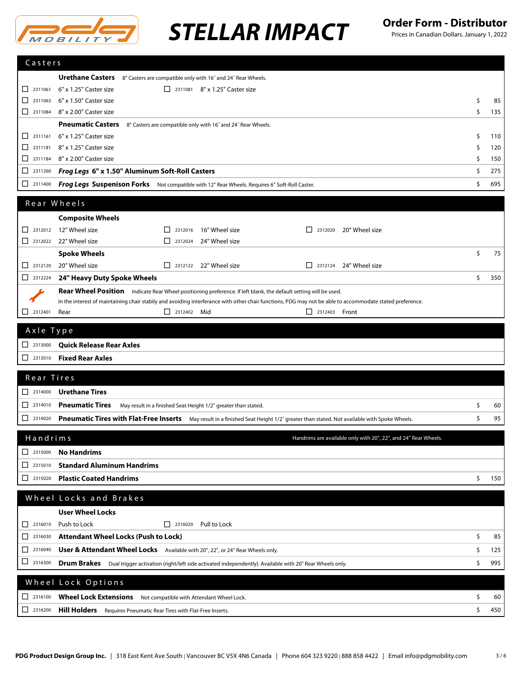

|                                                                           | Casters                                                                                                                                                  |    |     |
|---------------------------------------------------------------------------|----------------------------------------------------------------------------------------------------------------------------------------------------------|----|-----|
|                                                                           | <b>Urethane Casters</b> 8" Casters are compatible only with 16" and 24" Rear Wheels.                                                                     |    |     |
| $\begin{array}{ c c c c c } \hline \quad & 2311061 \\\hline \end{array}$  | 6" x 1.25" Caster size<br>2311081 8" x 1.25" Caster size                                                                                                 |    |     |
| 2311063<br>□                                                              | 6" x 1.50" Caster size                                                                                                                                   | \$ | 85  |
| $\Box$ 2311084                                                            | 8" x 2.00" Caster size                                                                                                                                   | \$ | 135 |
|                                                                           | <b>Pneumatic Casters</b><br>8" Casters are compatible only with 16" and 24" Rear Wheels.                                                                 |    |     |
| $\Box$ 2311161                                                            | 6" x 1.25" Caster size                                                                                                                                   | Ŝ. | 110 |
| □                                                                         | 2311181 8" x 1.25" Caster size                                                                                                                           | \$ | 120 |
| □.                                                                        | 2311184 8" x 2.00" Caster size                                                                                                                           | \$ | 150 |
| 2311260<br>ப                                                              | Frog Legs 6" x 1.50" Aluminum Soft-Roll Casters                                                                                                          | Ŝ. | 275 |
| 2311400<br>ш                                                              | <b>Frog Legs Suspenison Forks</b> Not compatible with 12" Rear Wheels. Requires 6" Soft-Roll Caster.                                                     | \$ | 695 |
|                                                                           | Rear Wheels                                                                                                                                              |    |     |
|                                                                           | <b>Composite Wheels</b>                                                                                                                                  |    |     |
| □                                                                         | 2312012 12" Wheel size<br>16" Wheel size<br>20" Wheel size<br>2312016<br>2312020<br>$\perp$<br>$\mathsf{L}$                                              |    |     |
|                                                                           | $\Box$ 2312022 22" Wheel size<br>24" Wheel size<br>$\sqrt{2312024}$                                                                                      |    |     |
|                                                                           | <b>Spoke Wheels</b>                                                                                                                                      | \$ | 75  |
| □.                                                                        | 2312120 20" Wheel size<br>$\Box$ 2312122 22" Wheel size<br>$\Box$ 2312124 24" Wheel size                                                                 |    |     |
| 2312224<br>ப                                                              | 24" Heavy Duty Spoke Wheels                                                                                                                              | Ŝ. | 350 |
|                                                                           | Rear Wheel Position Indicate Rear Wheel positioning preference. If left blank, the default setting will be used.                                         |    |     |
|                                                                           | In the interest of maintaining chair stabily and avoiding interferance with other chair functions, PDG may not be able to accommodate stated preference. |    |     |
| 2312401<br>I I                                                            | Rear<br>$\Box$ 2312402 Mid<br>$\Box$ 2312403 Front                                                                                                       |    |     |
| Axle Type                                                                 |                                                                                                                                                          |    |     |
| $\begin{array}{ c c c }\n\hline\n2313000\n\end{array}$                    | <b>Quick Release Rear Axles</b>                                                                                                                          |    |     |
| 2313010                                                                   |                                                                                                                                                          |    |     |
|                                                                           |                                                                                                                                                          |    |     |
| □                                                                         | <b>Fixed Rear Axles</b>                                                                                                                                  |    |     |
| Rear Tires                                                                |                                                                                                                                                          |    |     |
| $\begin{array}{ c c c c c } \hline \quad & 2314000 \\ \hline \end{array}$ | <b>Urethane Tires</b>                                                                                                                                    |    |     |
| 2314010<br>□                                                              | <b>Pneumatic Tires</b>                                                                                                                                   | \$ | 60  |
| □<br>2314020                                                              | May result in a finished Seat Height 1/2" greater than stated.                                                                                           | \$ | 95  |
|                                                                           | Pneumatic Tires with Flat-Free Inserts May result in a finished Seat Height 1/2" greater than stated. Not available with Spoke Wheels.                   |    |     |
| Handrims                                                                  | Handrims are available only with 20", 22", and 24" Rear Wheels.                                                                                          |    |     |
| $\begin{array}{ c c c }\n\hline\n2315000\n\end{array}$                    | <b>No Handrims</b>                                                                                                                                       |    |     |
| 2315010<br>ப                                                              | <b>Standard Aluminum Handrims</b>                                                                                                                        |    |     |
| 2315020                                                                   | <b>Plastic Coated Handrims</b>                                                                                                                           | \$ | 150 |
|                                                                           |                                                                                                                                                          |    |     |
|                                                                           | Wheel Locks and Brakes                                                                                                                                   |    |     |
|                                                                           | <b>User Wheel Locks</b>                                                                                                                                  |    |     |
| 2316010<br>ப                                                              | $\begin{array}{ c c }\n\hline\n\end{array}$ 2316020<br>Push to Lock<br>Pull to Lock                                                                      |    |     |
| ப<br>2316030                                                              | <b>Attendant Wheel Locks (Push to Lock)</b>                                                                                                              | \$ | 85  |
| 2316040<br>ш                                                              | User & Attendant Wheel Locks Available with 20", 22", or 24" Rear Wheels only.                                                                           | \$ | 125 |
| ப<br>2316300                                                              | Drum Brakes Dual trigger activation (right/left side activated independently). Available with 20" Rear Wheels only.                                      | \$ | 995 |
|                                                                           | Wheel Lock Options                                                                                                                                       |    |     |
| $\Box$ 2316100                                                            | Wheel Lock Extensions Not compatible with Attendant Wheel Lock.                                                                                          | \$ | 60  |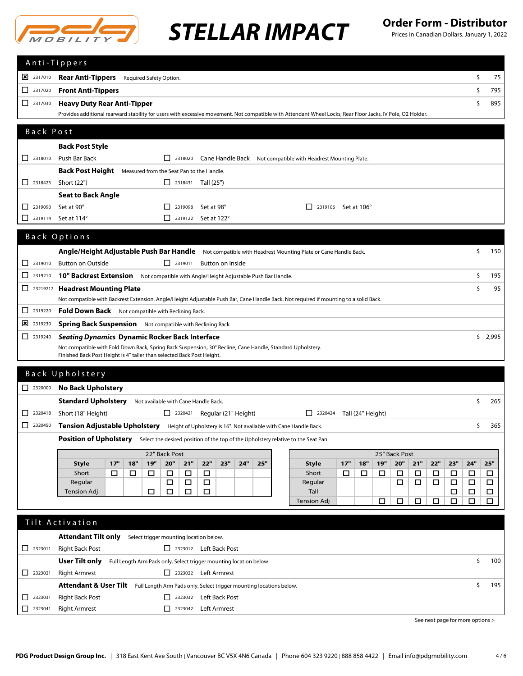

|                                                                | Anti-Tippers                                                                                                                                                                       |             |                  |
|----------------------------------------------------------------|------------------------------------------------------------------------------------------------------------------------------------------------------------------------------------|-------------|------------------|
| $\frac{1}{2}$ 2317010                                          | <b>Rear Anti-Tippers</b><br>Required Safety Option.                                                                                                                                | \$          | 75               |
| □<br>2317020                                                   | <b>Front Anti-Tippers</b>                                                                                                                                                          | \$          | 795              |
| $\begin{array}{ c c c c c } \hline \text{2317030} \end{array}$ | <b>Heavy Duty Rear Anti-Tipper</b>                                                                                                                                                 | \$          | 895              |
|                                                                | Provides additional rearward stability for users with excessive movement. Not compatible with Attendant Wheel Locks, Rear Floor Jacks, IV Pole, O2 Holder.                         |             |                  |
| Back Post                                                      |                                                                                                                                                                                    |             |                  |
|                                                                |                                                                                                                                                                                    |             |                  |
| $\begin{array}{ c c c }\n\hline\n2318010\n\end{array}$         | <b>Back Post Style</b><br>Push Bar Back<br>Cane Handle Back Not compatible with Headrest Mounting Plate.<br>$2318020$                                                              |             |                  |
|                                                                | <b>Back Post Height</b>                                                                                                                                                            |             |                  |
| $\begin{array}{ c c }\n\hline\n\end{array}$ 2318425            | Measured from the Seat Pan to the Handle.<br>Short (22")<br>$\Box$ 2318431 Tall (25")                                                                                              |             |                  |
|                                                                | <b>Seat to Back Angle</b>                                                                                                                                                          |             |                  |
| $\Box$ 2319090                                                 | Set at 90°<br>□ 2319098 Set at 98°<br>□ 2319106 Set at 106°                                                                                                                        |             |                  |
| П<br>2319114                                                   | 2319122 Set at 122°<br>Set at 114°                                                                                                                                                 |             |                  |
|                                                                |                                                                                                                                                                                    |             |                  |
|                                                                | Back Options                                                                                                                                                                       |             |                  |
|                                                                | Angle/Height Adjustable Push Bar Handle Not compatible with Headrest Mounting Plate or Cane Handle Back.                                                                           | \$          | 150              |
| 2319010<br>⊔                                                   | <b>Button on Outside</b><br>$\begin{array}{ c c c c c c } \hline \quad & 2319011 \\ \hline \end{array}$<br>Button on Inside                                                        |             |                  |
| ⊔<br>2319210                                                   | 10" Backrest Extension Not compatible with Angle/Height Adjustable Push Bar Handle.                                                                                                | \$          | 195              |
| □                                                              | 23219212 Headrest Mounting Plate                                                                                                                                                   | \$          | 95               |
| 2319220                                                        | Not compatible with Backrest Extension, Angle/Height Adjustable Push Bar, Cane Handle Back. Not required if mounting to a solid Back.                                              |             |                  |
| ⊔                                                              | Fold Down Back Not compatible with Reclining Back.                                                                                                                                 |             |                  |
| ⊠<br>2319230                                                   | Spring Back Suspension Not compatible with Reclining Back.                                                                                                                         |             |                  |
| $\Box$ 2319240                                                 | Seating Dynamics Dynamic Rocker Back Interface<br>Not compatible with Fold Down Back, Spring Back Suspension, 30° Recline, Cane Handle, Standard Upholstery.                       | \$          | 2,995            |
|                                                                | Finished Back Post Height is 4" taller than selected Back Post Height.                                                                                                             |             |                  |
|                                                                | Back Upholstery                                                                                                                                                                    |             |                  |
| $\begin{array}{ c c c }\n\hline\n2320000\n\end{array}$         | <b>No Back Upholstery</b>                                                                                                                                                          |             |                  |
|                                                                | <b>Standard Upholstery</b>                                                                                                                                                         | \$          | 265              |
| ⊔<br>2320418                                                   | Not available with Cane Handle Back.<br>Short (18" Height)<br>$\Box$ 2320421 Regular (21" Height)<br>Tall (24" Height)<br>$\begin{array}{ c c c }\n\hline\n2320424\n\end{array}$   |             |                  |
| □<br>2320450                                                   | Tension Adjustable Upholstery Height of Upholstery is 16". Not available with Cane Handle Back.                                                                                    | \$          | 365              |
|                                                                | Position of Upholstery Select the desired position of the top of the Upholstery relative to the Seat Pan.                                                                          |             |                  |
|                                                                |                                                                                                                                                                                    |             |                  |
|                                                                | 22" Back Post<br>25" Back Post<br>19"<br>20"<br>$21"$<br>25"<br>$17"$<br>19"<br>20"<br>17"<br>18"<br>22"<br>23"<br>24"<br>18"<br>21"<br>22"<br>23"<br><b>Style</b><br><b>Style</b> | 24"         | 25"              |
|                                                                | Short<br>$\Box$<br>□<br>$\Box$<br>Short<br>□<br>□<br>$\Box$<br>$\Box$<br>□<br>$\Box$<br>$\Box$<br>□<br>□<br>$\Box$                                                                 | $\Box$      | $\Box$           |
|                                                                | Regular<br>$\Box$<br>$\Box$<br>Regular<br>$\Box$<br>$\Box$<br>$\Box$<br>□<br>□                                                                                                     | $\Box$      | $\Box$           |
|                                                                | <b>Tension Adj</b><br>Tall<br>$\Box$<br>□<br>□<br>□<br>□<br><b>Tension Adj</b><br>□<br>□<br>□<br>□<br>□                                                                            | $\Box$<br>□ | $\Box$<br>$\Box$ |
|                                                                |                                                                                                                                                                                    |             |                  |
|                                                                | Tilt Activation                                                                                                                                                                    |             |                  |
|                                                                | Attendant Tilt only<br>Select trigger mounting location below.                                                                                                                     |             |                  |
| 2323011                                                        | <b>Right Back Post</b><br>2323012 Left Back Post                                                                                                                                   |             |                  |
|                                                                | User Tilt only<br>Full Length Arm Pads only. Select trigger mounting location below.                                                                                               | \$          | 100              |
| 2323021                                                        | 2323022 Left Armrest<br><b>Right Armrest</b>                                                                                                                                       |             |                  |
|                                                                | Attendant & User Tilt Full Length Arm Pads only. Select trigger mounting locations below.                                                                                          | \$          | 195              |
| 2323031<br>◻                                                   | <b>Right Back Post</b><br>2323032 Left Back Post                                                                                                                                   |             |                  |
| $\Box$ 2323041                                                 | <b>Right Armrest</b><br>2323042 Left Armrest                                                                                                                                       |             |                  |
|                                                                | See next page for more options >                                                                                                                                                   |             |                  |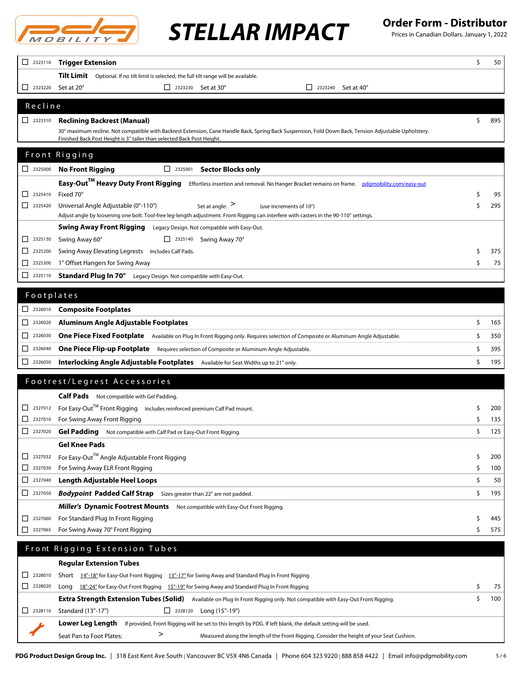

| $\Box$ 2323110                                                              | <b>Trigger Extension</b>                                                                                                                              | \$ | 50  |
|-----------------------------------------------------------------------------|-------------------------------------------------------------------------------------------------------------------------------------------------------|----|-----|
|                                                                             | Tilt Limit Optional. If no tilt limit is selected, the full tilt range will be available.                                                             |    |     |
| $\begin{array}{ c c c c c c } \hline \quad & 2323220 \\ \hline \end{array}$ | Set at 20°<br>$\Box$ 2323230 Set at 30°<br>$\Box$ 2323240 Set at 40°                                                                                  |    |     |
| Recline                                                                     |                                                                                                                                                       |    |     |
| $\begin{array}{ c c }\n\hline\n\end{array}$ 2323310                         | <b>Reclining Backrest (Manual)</b>                                                                                                                    | \$ | 895 |
|                                                                             | 30° maximum recline. Not compatible with Backrest Extension, Cane Handle Back, Spring Back Suspension, Fold Down Back, Tension Adjustable Upholstery. |    |     |
|                                                                             | Finished Back Post Height is 3" taller than selected Back Post Height.                                                                                |    |     |
|                                                                             | Front Rigging                                                                                                                                         |    |     |
| $\begin{array}{ c c c c c } \hline \quad & 2325000 \\ \hline \end{array}$   | <b>No Front Rigging</b><br>2325001 Sector Blocks only                                                                                                 |    |     |
|                                                                             | Easy-Out™ Heavy Duty Front Rigging<br>Effortless insertion and removal. No Hanger Bracket remains on frame. pdgmobility.com/easy-out                  |    |     |
| $\begin{array}{ c c }\n\hline\n\end{array}$ 2325410                         | Fixed 70°                                                                                                                                             | \$ | 95  |
| $\begin{array}{ c c }\n\hline\n\end{array}$ 2325420                         | Universal Angle Adjustable (0°-110°)<br>Set at angle: $>$<br>(use increments of 10°)                                                                  | \$ | 295 |
|                                                                             | Adjust angle by loosening one bolt. Tool-free leg-length adjustment. Front Rigging can interfere with casters in the 90-110° settings.                |    |     |
| 2325130<br>ப                                                                | <b>Swing Away Front Rigging</b><br>Legacy Design. Not compatible with Easy-Out.<br>Swing Away 60°<br>$\Box$ 2325140 Swing Away 70°                    |    |     |
| □<br>2325200                                                                | Swing Away Elevating Legrests Includes Calf Pads.                                                                                                     | \$ | 375 |
| □<br>2325300                                                                | 1" Offset Hangers for Swing Away                                                                                                                      | Ś  | 75  |
| 2325110<br>⊔                                                                | Standard Plug In 70° Legacy Design. Not compatible with Easy-Out.                                                                                     |    |     |
|                                                                             |                                                                                                                                                       |    |     |
| Footplates                                                                  |                                                                                                                                                       |    |     |
| 2326010<br>ப                                                                | <b>Composite Footplates</b>                                                                                                                           |    |     |
| □<br>2326020                                                                | Aluminum Angle Adjustable Footplates                                                                                                                  | \$ | 165 |
| 2326030<br>⊔                                                                | One Piece Fixed Footplate Available on Plug In Front Rigging only. Requires selection of Composite or Aluminum Angle Adjustable.                      | \$ | 350 |
| 2326040<br>П                                                                | One Piece Flip-up Footplate Requires selection of Composite or Aluminum Angle Adjustable.                                                             | \$ | 395 |
| $\begin{array}{ c c c c c } \hline \text{2326050} \end{array}$              | Interlocking Angle Adjustable Footplates Available for Seat Widths up to 21" only.                                                                    | \$ | 195 |
|                                                                             | Footrest/Legrest Accessories                                                                                                                          |    |     |
|                                                                             | <b>Calf Pads</b> Not compatible with Gel Padding.                                                                                                     |    |     |
| 2327012<br>ப                                                                | For Easy-Out™ Front Rigging Includes reinforced premium Calf Pad mount.                                                                               | \$ | 200 |
| □<br>2327010                                                                | For Swing Away Front Rigging                                                                                                                          | \$ | 135 |
| □<br>2327020                                                                | Gel Padding Not compatible with Calf Pad or Easy-Out Front Rigging.                                                                                   | \$ | 125 |
|                                                                             | <b>Gel Knee Pads</b>                                                                                                                                  |    |     |
| 2327032<br>ப                                                                | For Easy-Out™ Angle Adjustable Front Rigging                                                                                                          | \$ | 200 |
| □<br>2327030                                                                | For Swing Away ELR Front Rigging                                                                                                                      | \$ | 100 |
| 2327040<br>ப                                                                | Length Adjustable Heel Loops                                                                                                                          | \$ | 50  |
| □<br>2327050                                                                | <b>Bodypoint Padded Calf Strap</b><br>Sizes greater than 22" are not padded.                                                                          | \$ | 195 |
|                                                                             | Miller's Dynamic Footrest Mounts Not compatible with Easy-Out Front Rigging.                                                                          |    |     |
| 2327060<br>⊔                                                                | For Standard Plug In Front Rigging                                                                                                                    | \$ | 445 |
| ப<br>2327065                                                                | For Swing Away 70° Front Rigging                                                                                                                      | Ś  | 575 |
|                                                                             | Front Rigging Extension Tubes                                                                                                                         |    |     |
|                                                                             | <b>Regular Extension Tubes</b>                                                                                                                        |    |     |
| 2328010<br>⊔                                                                | Short 14"-18" for Easy-Out Front Rigging 13"-17" for Swing Away and Standard Plug In Front Rigging                                                    |    |     |
| □<br>2328020                                                                | Long 18"-24" for Easy-Out Front Rigging 15"-19" for Swing Away and Standard Plug In Front Rigging                                                     | \$ | 75  |
|                                                                             | <b>Extra Strength Extension Tubes (Solid)</b> Available on Plug In Front Rigging only. Not compatible with Easy-Out Front Rigging.                    | \$ | 100 |
| $\Box$ 2328110                                                              | Standard (13"-17")<br>$\Box$ 2328120 Long (15"-19")                                                                                                   |    |     |
|                                                                             | <b>Lower Leg Length</b><br>If provided, Front Rigging will be set to this length by PDG. If left blank, the default setting will be used.             |    |     |
|                                                                             | ><br>Seat Pan to Foot Plates:<br>Measured along the length of the Front Rigging. Consider the height of your Seat Cushion.                            |    |     |